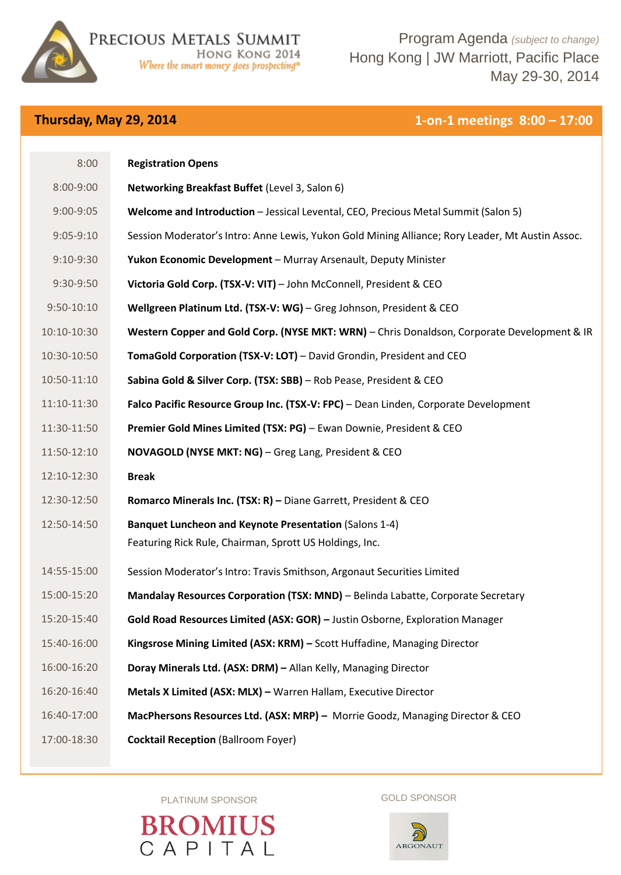

Program Agenda *(subject to change)* Hong Kong | JW Marriott, Pacific Place May 29-30, 2014

## **Thursday, May 29, 2014 1-on-1 meetings 8:00 – 17:00**

| 8:00           | <b>Registration Opens</b>                                                                                         |
|----------------|-------------------------------------------------------------------------------------------------------------------|
| 8:00-9:00      | Networking Breakfast Buffet (Level 3, Salon 6)                                                                    |
| $9:00 - 9:05$  | Welcome and Introduction - Jessical Levental, CEO, Precious Metal Summit (Salon 5)                                |
| $9:05-9:10$    | Session Moderator's Intro: Anne Lewis, Yukon Gold Mining Alliance; Rory Leader, Mt Austin Assoc.                  |
| $9:10-9:30$    | Yukon Economic Development - Murray Arsenault, Deputy Minister                                                    |
| 9:30-9:50      | Victoria Gold Corp. (TSX-V: VIT) - John McConnell, President & CEO                                                |
| $9:50 - 10:10$ | Wellgreen Platinum Ltd. (TSX-V: WG) - Greg Johnson, President & CEO                                               |
| 10:10-10:30    | Western Copper and Gold Corp. (NYSE MKT: WRN) - Chris Donaldson, Corporate Development & IR                       |
| 10:30-10:50    | TomaGold Corporation (TSX-V: LOT) - David Grondin, President and CEO                                              |
| 10:50-11:10    | Sabina Gold & Silver Corp. (TSX: SBB) - Rob Pease, President & CEO                                                |
| 11:10-11:30    | Falco Pacific Resource Group Inc. (TSX-V: FPC) - Dean Linden, Corporate Development                               |
| 11:30-11:50    | Premier Gold Mines Limited (TSX: PG) - Ewan Downie, President & CEO                                               |
| 11:50-12:10    | NOVAGOLD (NYSE MKT: NG) - Greg Lang, President & CEO                                                              |
| 12:10-12:30    | <b>Break</b>                                                                                                      |
| 12:30-12:50    | Romarco Minerals Inc. (TSX: R) - Diane Garrett, President & CEO                                                   |
| 12:50-14:50    | Banquet Luncheon and Keynote Presentation (Salons 1-4)<br>Featuring Rick Rule, Chairman, Sprott US Holdings, Inc. |
| 14:55-15:00    | Session Moderator's Intro: Travis Smithson, Argonaut Securities Limited                                           |
| 15:00-15:20    | Mandalay Resources Corporation (TSX: MND) - Belinda Labatte, Corporate Secretary                                  |
| 15:20-15:40    | Gold Road Resources Limited (ASX: GOR) - Justin Osborne, Exploration Manager                                      |
| 15:40-16:00    | Kingsrose Mining Limited (ASX: KRM) - Scott Huffadine, Managing Director                                          |
| 16:00-16:20    | Doray Minerals Ltd. (ASX: DRM) - Allan Kelly, Managing Director                                                   |
| 16:20-16:40    | Metals X Limited (ASX: MLX) - Warren Hallam, Executive Director                                                   |
| 16:40-17:00    | MacPhersons Resources Ltd. (ASX: MRP) - Morrie Goodz, Managing Director & CEO                                     |
| 17:00-18:30    | <b>Cocktail Reception (Ballroom Foyer)</b>                                                                        |
|                |                                                                                                                   |

PLATINUM SPONSOR GOLD SPONSOR

**BROMIUS** CAPITAL